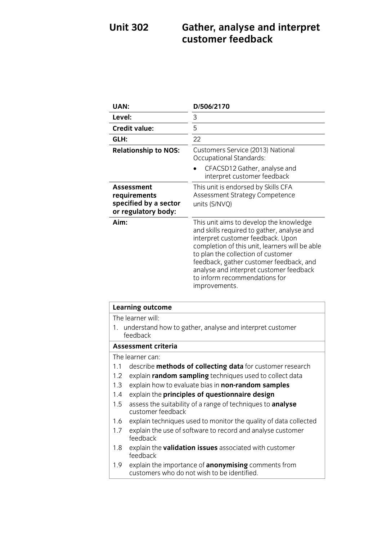## **Unit 302 Gather, analyse and interpret customer feedback**

| UAN:                                                                              | D/506/2170                                                                                                                                                                                                                                                                                                                                                 |
|-----------------------------------------------------------------------------------|------------------------------------------------------------------------------------------------------------------------------------------------------------------------------------------------------------------------------------------------------------------------------------------------------------------------------------------------------------|
| Level:                                                                            | 3                                                                                                                                                                                                                                                                                                                                                          |
| <b>Credit value:</b>                                                              | 5                                                                                                                                                                                                                                                                                                                                                          |
| GLH:                                                                              | 22                                                                                                                                                                                                                                                                                                                                                         |
| <b>Relationship to NOS:</b>                                                       | Customers Service (2013) National<br>Occupational Standards:                                                                                                                                                                                                                                                                                               |
|                                                                                   | CFACSD12 Gather, analyse and<br>interpret customer feedback                                                                                                                                                                                                                                                                                                |
| <b>Assessment</b><br>requirements<br>specified by a sector<br>or regulatory body: | This unit is endorsed by Skills CFA<br>Assessment Strategy Competence<br>units (S/NVQ)                                                                                                                                                                                                                                                                     |
| Aim:                                                                              | This unit aims to develop the knowledge<br>and skills required to gather, analyse and<br>interpret customer feedback. Upon<br>completion of this unit, learners will be able<br>to plan the collection of customer<br>feedback, gather customer feedback, and<br>analyse and interpret customer feedback<br>to inform recommendations for<br>improvements. |

|                                                                         | <b>Learning outcome</b>                                                                                   |  |
|-------------------------------------------------------------------------|-----------------------------------------------------------------------------------------------------------|--|
|                                                                         | The learner will:                                                                                         |  |
| 1. understand how to gather, analyse and interpret customer<br>feedback |                                                                                                           |  |
| Assessment criteria                                                     |                                                                                                           |  |
|                                                                         | The learner can:                                                                                          |  |
| 1.1                                                                     | describe <b>methods of collecting data</b> for customer research                                          |  |
| $1.2^{\circ}$                                                           | explain random sampling techniques used to collect data                                                   |  |
| 1.3                                                                     | explain how to evaluate bias in non-random samples                                                        |  |
| 1.4                                                                     | explain the principles of questionnaire design                                                            |  |
| 1.5                                                                     | assess the suitability of a range of techniques to <b>analyse</b><br>customer feedback                    |  |
| 1.6                                                                     | explain techniques used to monitor the quality of data collected                                          |  |
| 1.7                                                                     | explain the use of software to record and analyse customer<br>feedback                                    |  |
| 1.8                                                                     | explain the <b>validation issues</b> associated with customer<br>feedback                                 |  |
| 1.9 <sup>°</sup>                                                        | explain the importance of <b>anonymising</b> comments from<br>customers who do not wish to be identified. |  |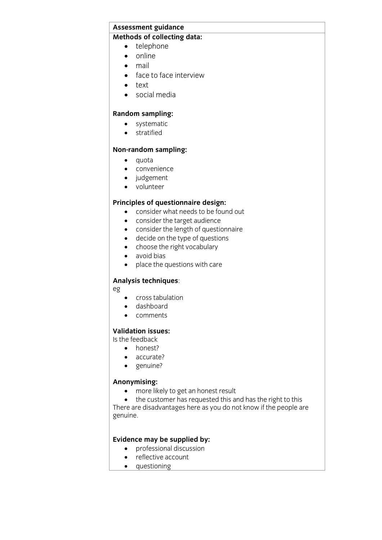# **Assessment guidance**

- **Methods of collections** 
	- $\bullet$  online
	- mail
	- face to face interview
	- text
	- social media

- **e** systematic
	- **•** stratified

## **Non-random sampling:**

- quota
- convenience<br>• iudoement
- judgement
- volunteer

- **Consider what needs to be found out** 
	- consider the target audience
	- consider the length of questionnaire
	- decide on the type of questions
	- choose the right vocabulary
	- avoid bias
	- place the questions with care

### **Analysis techniques**:

- eg
	- cross tabulation
	- dashboard
	- comments

### **Validation issues:**

**Is the feedback** 

- $\bullet$  honest?
	- accurate?
	- genuine?

• more likely to get an honest result

• the customer has requested this and has the right to this There are disadvantages here as you do not know if the people are genuine.

- **Existence may** be supplied by:<br> **e** professional discussion
	- reflective account
	- questioning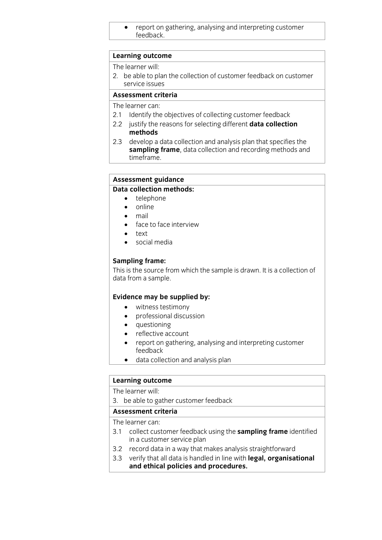report on gathering, analysing and interpreting customer feedback.com

## **Learning outcome**<br>The learner will:

2. be able to plan the collection of customer feedback on customer service issues

### Assessment criteria

The learner can:

- 2.1 Identify the objectives of collecting customer feedback
- 2.2 justify the reasons for selecting different **data collection** methods
- 2.3 develop a data collection and analysis plan that specifies the sampling frame, data collection and recording methods and time frame. <u>times and</u>

## **Assessment guidance**

- $\bullet$  telephone
	- online
	- mail
	- face to face interview
	-
	- $\bullet$  text social media

**Sampling frame:**<br>This is the source from which the sample is drawn. It is a collection of data from a sample. data from a sample.

- **Existence may be supplied by:**<br> **•** witness testimony<br>
professional discussion
	- professional discussion<br>• questioning
	- questioning<br>• reflective ac
	- reflective account<br>• report on gatherin
	- report on gathering, analysing and interpreting customer
	- data collection and analysis plan

## **Learning outcome**<br>The learner will:

3. be able to gather customer feedback

### Assessment criteria

The learner can:

- 3.1 collect customer feedback using the **sampling frame** identified in a customer service plan
- 3.2 record data in a way that makes analysis straightforward
- 3.3 verify that all data is handled in line with legal, organisational and ethical nolicies and procedures **and ethical policies and procedures.**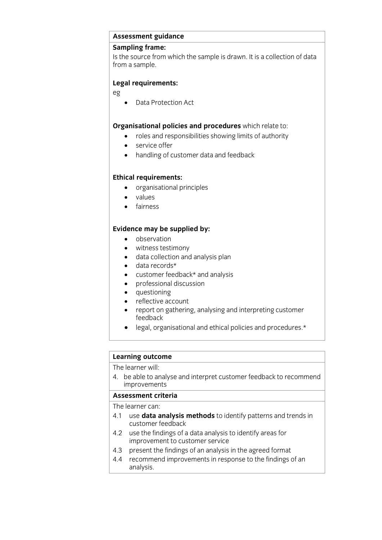# **Assessment guidance**

Is the source from which the sample is drawn. It is a collection of data from a sample. from a sample.

### **Legal requirements:**

eg

• Data Protection Act

- **Cross and responsibilities showing limits of authority** 
	- service offer<br>• handling of c
	- handling of customer data and feedback

- **Example 1999**<br> **Example 1999**<br> **Contract respectively.** 
	- values
	- fairness

- **Evidence** may be supplied by:
	- witness testimony
	- data collection and analysis plan
	- data records\*
	- customer feedback\* and analysis
	- professional discussion
	- questioning
	- reflective account<br>• report on gatherin
	- report on gathering, analysing and interpreting customer
	- legal, organisational and ethical policies and procedures.\*

## **Learning outcome**<br>The learner will:

4. be able to analyse and interpret customer feedback to recommend improvements

### Assessment criteria

The learner can:

- 4.1 use data analysis methods to identify patterns and trends in customer feedback
- 4.2 use the findings of a data analysis to identify areas for improvement to customer service
- present the findings of an analysis in the agreed format
- 4.3 present the findings of an analysis in the agreed format<br>4.4 recommend improvements in response to the findings of an analysis.  $\frac{1}{2}$